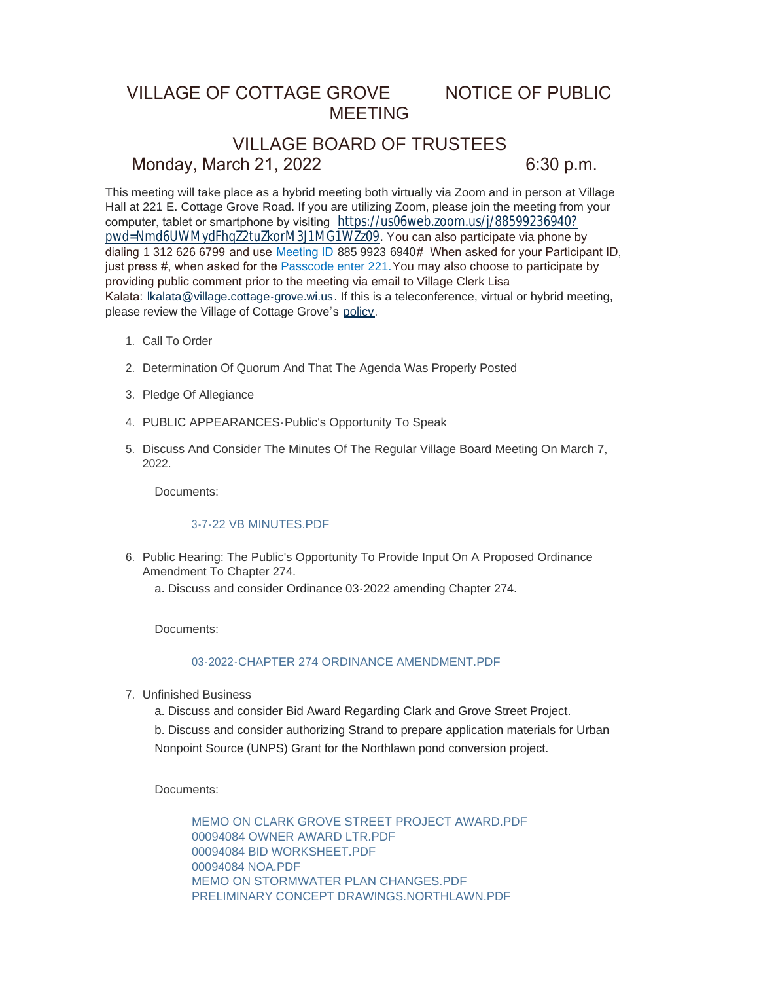## VILLAGE OF COTTAGE GROVE NOTICE OF PUBLIC MEETING

# VILLAGE BOARD OF TRUSTEES Monday, March 21, 2022 6:30 p.m.

This meeting will take place as a hybrid meeting both virtually via Zoom and in person at Village Hall at 221 E. Cottage Grove Road. If you are utilizing Zoom, please join the meeting from your computer, tablet or smartphone by visiting [https://us06web.zoom.us/j/88599236940?](https://us06web.zoom.us/j/88599236940?pwd=Nmd6UWMydFhqZ2tuZkorM3J1MG1WZz09) pwd=Nmd6UWMydFhqZ2tuZkorM3J1MG1WZz09. You can also participate via phone by dialing 1 312 626 6799 and use Meeting ID 885 9923 6940# When asked for your Participant ID, just press #, when asked for the Passcode enter 221.You may also choose to participate by providing public comment prior to the meeting via email to Village Clerk Lisa Kalata: [lkalata@village.cottage-grove.wi.us.](mailto:lkalata@village.cottage-grove.wi.us) If this is a teleconference, virtual or hybrid meeting, please review the Village of Cottage Grove's [policy](https://www.vi.cottagegrove.wi.gov/DocumentCenter/View/1850/Virtual-Hybrid-Tele-meeting-Policy-Final).

- 1. Call To Order
- 2. Determination Of Quorum And That The Agenda Was Properly Posted
- 3. Pledge Of Allegiance
- PUBLIC APPEARANCES-Public's Opportunity To Speak 4.
- 5. Discuss And Consider The Minutes Of The Regular Village Board Meeting On March 7, 2022.

Documents:

#### [3-7-22 VB MINUTES.PDF](https://www.vi.cottagegrove.wi.gov/AgendaCenter/ViewFile/Item/9730?fileID=19269)

6. Public Hearing: The Public's Opportunity To Provide Input On A Proposed Ordinance Amendment To Chapter 274.

a. Discuss and consider Ordinance 03-2022 amending Chapter 274.

Documents:

## [03-2022-CHAPTER 274 ORDINANCE AMENDMENT.PDF](https://www.vi.cottagegrove.wi.gov/AgendaCenter/ViewFile/Item/9731?fileID=19270)

- Unfinished Business 7.
	- a. Discuss and consider Bid Award Regarding Clark and Grove Street Project.

b. Discuss and consider authorizing Strand to prepare application materials for Urban Nonpoint Source (UNPS) Grant for the Northlawn pond conversion project.

Documents:

[MEMO ON CLARK GROVE STREET PROJECT AWARD.PDF](https://www.vi.cottagegrove.wi.gov/AgendaCenter/ViewFile/Item/9780?fileID=19343) [00094084 OWNER AWARD LTR.PDF](https://www.vi.cottagegrove.wi.gov/AgendaCenter/ViewFile/Item/9780?fileID=19344) [00094084 BID WORKSHEET.PDF](https://www.vi.cottagegrove.wi.gov/AgendaCenter/ViewFile/Item/9780?fileID=19345) [00094084 NOA.PDF](https://www.vi.cottagegrove.wi.gov/AgendaCenter/ViewFile/Item/9780?fileID=19346) [MEMO ON STORMWATER PLAN CHANGES.PDF](https://www.vi.cottagegrove.wi.gov/AgendaCenter/ViewFile/Item/9780?fileID=19347) [PRELIMINARY CONCEPT DRAWINGS.NORTHLAWN.PDF](https://www.vi.cottagegrove.wi.gov/AgendaCenter/ViewFile/Item/9780?fileID=19348)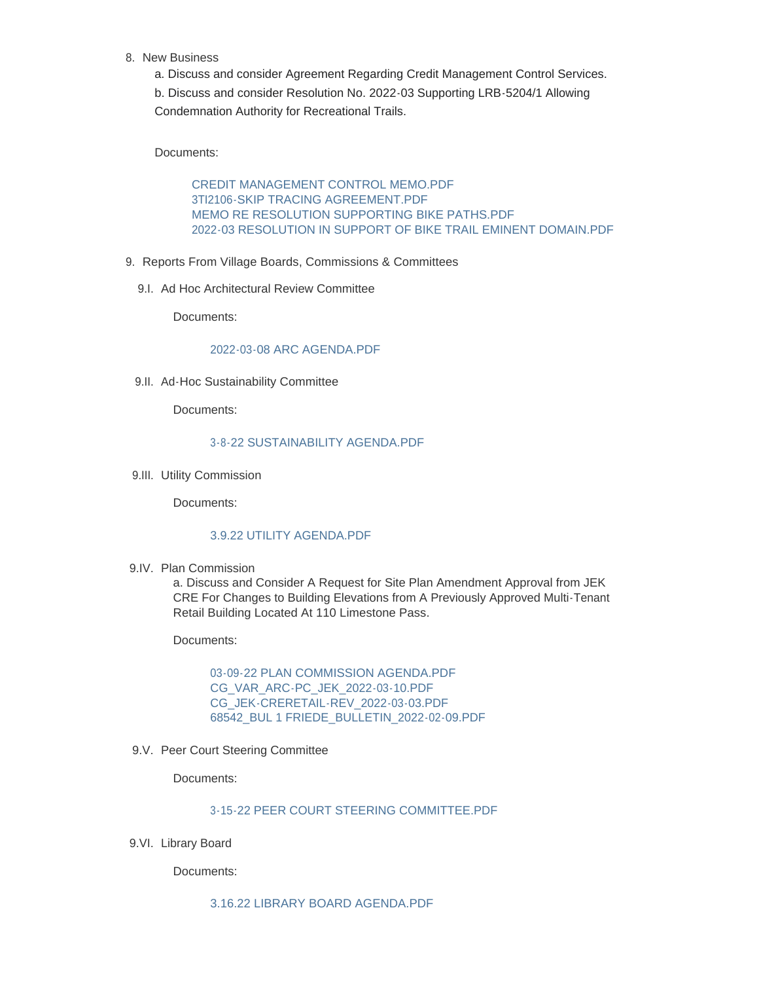- 8. New Business
	- a. Discuss and consider Agreement Regarding Credit Management Control Services.

b. Discuss and consider Resolution No. 2022-03 Supporting LRB-5204/1 Allowing Condemnation Authority for Recreational Trails.

Documents:

[CREDIT MANAGEMENT CONTROL MEMO.PDF](https://www.vi.cottagegrove.wi.gov/AgendaCenter/ViewFile/Item/9796?fileID=19374) [3TI2106-SKIP TRACING AGREEMENT.PDF](https://www.vi.cottagegrove.wi.gov/AgendaCenter/ViewFile/Item/9796?fileID=19375) [MEMO RE RESOLUTION SUPPORTING BIKE PATHS.PDF](https://www.vi.cottagegrove.wi.gov/AgendaCenter/ViewFile/Item/9796?fileID=19376) [2022-03 RESOLUTION IN SUPPORT OF BIKE TRAIL EMINENT DOMAIN.PDF](https://www.vi.cottagegrove.wi.gov/AgendaCenter/ViewFile/Item/9796?fileID=19377)

- 9. Reports From Village Boards, Commissions & Committees
	- 9.I. Ad Hoc Architectural Review Committee

Documents:

## [2022-03-08 ARC AGENDA.PDF](https://www.vi.cottagegrove.wi.gov/AgendaCenter/ViewFile/Item/9733?fileID=19271)

9.II. Ad-Hoc Sustainability Committee

Documents:

#### [3-8-22 SUSTAINABILITY AGENDA.PDF](https://www.vi.cottagegrove.wi.gov/AgendaCenter/ViewFile/Item/9734?fileID=19272)

9.III. Utility Commission

Documents:

## [3.9.22 UTILITY AGENDA.PDF](https://www.vi.cottagegrove.wi.gov/AgendaCenter/ViewFile/Item/9735?fileID=19273)

9.IV. Plan Commission

a. Discuss and Consider A Request for Site Plan Amendment Approval from JEK CRE For Changes to Building Elevations from A Previously Approved Multi-Tenant Retail Building Located At 110 Limestone Pass.

Documents:

[03-09-22 PLAN COMMISSION AGENDA.PDF](https://www.vi.cottagegrove.wi.gov/AgendaCenter/ViewFile/Item/9755?fileID=19287) [CG\\_VAR\\_ARC-PC\\_JEK\\_2022-03-10.PDF](https://www.vi.cottagegrove.wi.gov/AgendaCenter/ViewFile/Item/9755?fileID=19288) [CG\\_JEK-CRERETAIL-REV\\_2022-03-03.PDF](https://www.vi.cottagegrove.wi.gov/AgendaCenter/ViewFile/Item/9755?fileID=19289) [68542\\_BUL 1 FRIEDE\\_BULLETIN\\_2022-02-09.PDF](https://www.vi.cottagegrove.wi.gov/AgendaCenter/ViewFile/Item/9755?fileID=19290)

9.V. Peer Court Steering Committee

Documents:

[3-15-22 PEER COURT STEERING COMMITTEE.PDF](https://www.vi.cottagegrove.wi.gov/AgendaCenter/ViewFile/Item/9738?fileID=19277)

9.VI. Library Board

Documents:

[3.16.22 LIBRARY BOARD AGENDA.PDF](https://www.vi.cottagegrove.wi.gov/AgendaCenter/ViewFile/Item/9739?fileID=19278)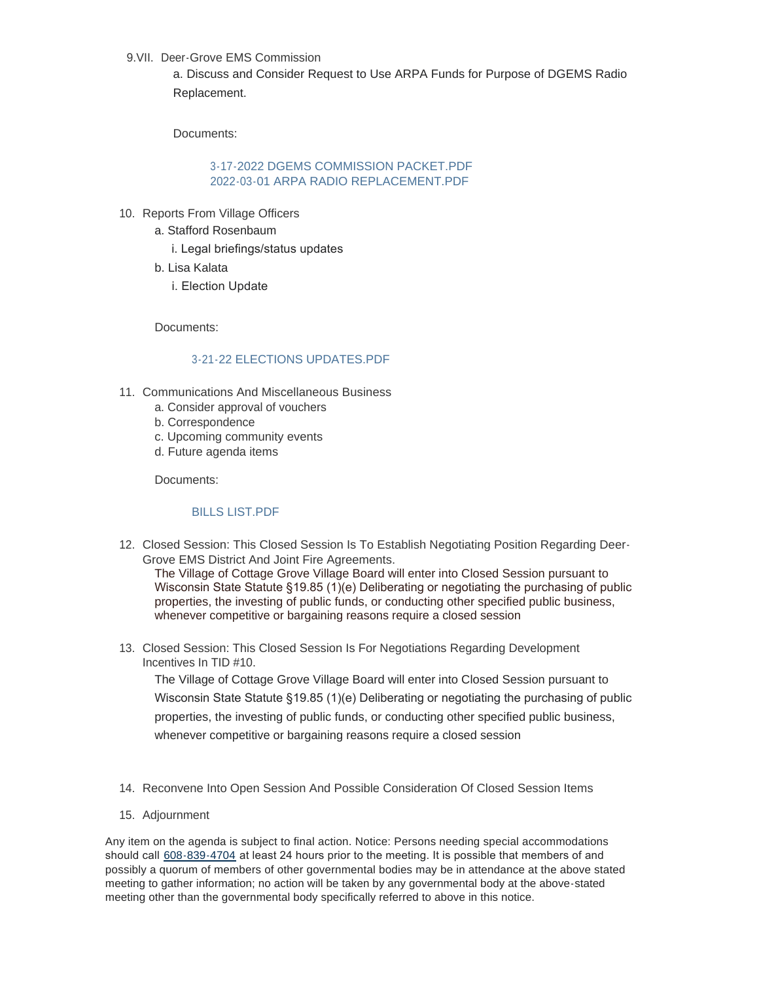9.VII. Deer-Grove EMS Commission

a. Discuss and Consider Request to Use ARPA Funds for Purpose of DGEMS Radio Replacement.

Documents:

## [3-17-2022 DGEMS COMMISSION PACKET.PDF](https://www.vi.cottagegrove.wi.gov/AgendaCenter/ViewFile/Item/9795?fileID=19371) 2022-03-01 ARPA RADIO REPLACEMENT PDE

- 10. Reports From Village Officers
	- a. Stafford Rosenbaum
		- i. Legal briefings/status updates
	- b. Lisa Kalata
		- i. Election Update

Documents:

## [3-21-22 ELECTIONS UPDATES.PDF](https://www.vi.cottagegrove.wi.gov/AgendaCenter/ViewFile/Item/9777?fileID=19329)

- 11. Communications And Miscellaneous Business
	- a. Consider approval of vouchers
	- b. Correspondence
	- c. Upcoming community events
	- d. Future agenda items

Documents:

## [BILLS LIST.PDF](https://www.vi.cottagegrove.wi.gov/AgendaCenter/ViewFile/Item/9790?fileID=19365)

Closed Session: This Closed Session Is To Establish Negotiating Position Regarding Deer-12. Grove EMS District And Joint Fire Agreements.

The Village of Cottage Grove Village Board will enter into Closed Session pursuant to Wisconsin State Statute §19.85 (1)(e) Deliberating or negotiating the purchasing of public properties, the investing of public funds, or conducting other specified public business, whenever competitive or bargaining reasons require a closed session

13. Closed Session: This Closed Session Is For Negotiations Regarding Development Incentives In TID #10.

The Village of Cottage Grove Village Board will enter into Closed Session pursuant to Wisconsin State Statute §19.85 (1)(e) Deliberating or negotiating the purchasing of public properties, the investing of public funds, or conducting other specified public business, whenever competitive or bargaining reasons require a closed session

- 14. Reconvene Into Open Session And Possible Consideration Of Closed Session Items
- 15. Adjournment

Any item on the agenda is subject to final action. Notice: Persons needing special accommodations should call [608-839-4704](tel:608-839-4704) at least 24 hours prior to the meeting. It is possible that members of and possibly a quorum of members of other governmental bodies may be in attendance at the above stated meeting to gather information; no action will be taken by any governmental body at the above-stated meeting other than the governmental body specifically referred to above in this notice.